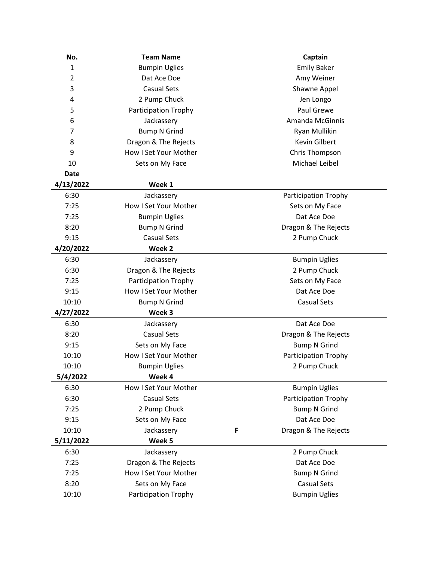| No.            | <b>Team Name</b>            |   | Captain                |  |
|----------------|-----------------------------|---|------------------------|--|
| $\mathbf{1}$   | <b>Bumpin Uglies</b>        |   | <b>Emily Baker</b>     |  |
| $\overline{2}$ | Dat Ace Doe                 |   | Amy Weiner             |  |
| 3              | <b>Casual Sets</b>          |   | Shawne Appel           |  |
| 4              | 2 Pump Chuck                |   | Jen Longo              |  |
| 5              | <b>Participation Trophy</b> |   | Paul Grewe             |  |
| 6              | Jackassery                  |   | <b>Amanda McGinnis</b> |  |
| 7              | <b>Bump N Grind</b>         |   | Ryan Mullikin          |  |
| 8              | Dragon & The Rejects        |   | <b>Kevin Gilbert</b>   |  |
| 9              | How I Set Your Mother       |   | Chris Thompson         |  |
| 10             | Sets on My Face             |   | Michael Leibel         |  |
| <b>Date</b>    |                             |   |                        |  |
| 4/13/2022      | Week 1                      |   |                        |  |
| 6:30           | Jackassery                  |   | Participation Trophy   |  |
| 7:25           | How I Set Your Mother       |   | Sets on My Face        |  |
| 7:25           | <b>Bumpin Uglies</b>        |   | Dat Ace Doe            |  |
| 8:20           | <b>Bump N Grind</b>         |   | Dragon & The Rejects   |  |
| 9:15           | <b>Casual Sets</b>          |   | 2 Pump Chuck           |  |
| 4/20/2022      | Week 2                      |   |                        |  |
| 6:30           | Jackassery                  |   | <b>Bumpin Uglies</b>   |  |
| 6:30           | Dragon & The Rejects        |   | 2 Pump Chuck           |  |
| 7:25           | Participation Trophy        |   | Sets on My Face        |  |
| 9:15           | How I Set Your Mother       |   | Dat Ace Doe            |  |
| 10:10          | <b>Bump N Grind</b>         |   | <b>Casual Sets</b>     |  |
| 4/27/2022      | Week 3                      |   |                        |  |
| 6:30           | Jackassery                  |   | Dat Ace Doe            |  |
| 8:20           | <b>Casual Sets</b>          |   | Dragon & The Rejects   |  |
| 9:15           | Sets on My Face             |   | <b>Bump N Grind</b>    |  |
| 10:10          | How I Set Your Mother       |   | Participation Trophy   |  |
| 10:10          | <b>Bumpin Uglies</b>        |   | 2 Pump Chuck           |  |
| 5/4/2022       | Week 4                      |   |                        |  |
| 6:30           | How I Set Your Mother       |   | <b>Bumpin Uglies</b>   |  |
| 6:30           | <b>Casual Sets</b>          |   | Participation Trophy   |  |
| 7:25           | 2 Pump Chuck                |   | <b>Bump N Grind</b>    |  |
| 9:15           | Sets on My Face             |   | Dat Ace Doe            |  |
| 10:10          | Jackassery                  | F | Dragon & The Rejects   |  |
| 5/11/2022      | Week 5                      |   |                        |  |
| 6:30           | Jackassery                  |   | 2 Pump Chuck           |  |
| 7:25           | Dragon & The Rejects        |   | Dat Ace Doe            |  |
| 7:25           | How I Set Your Mother       |   | <b>Bump N Grind</b>    |  |
| 8:20           | Sets on My Face             |   | <b>Casual Sets</b>     |  |
| 10:10          | Participation Trophy        |   | <b>Bumpin Uglies</b>   |  |